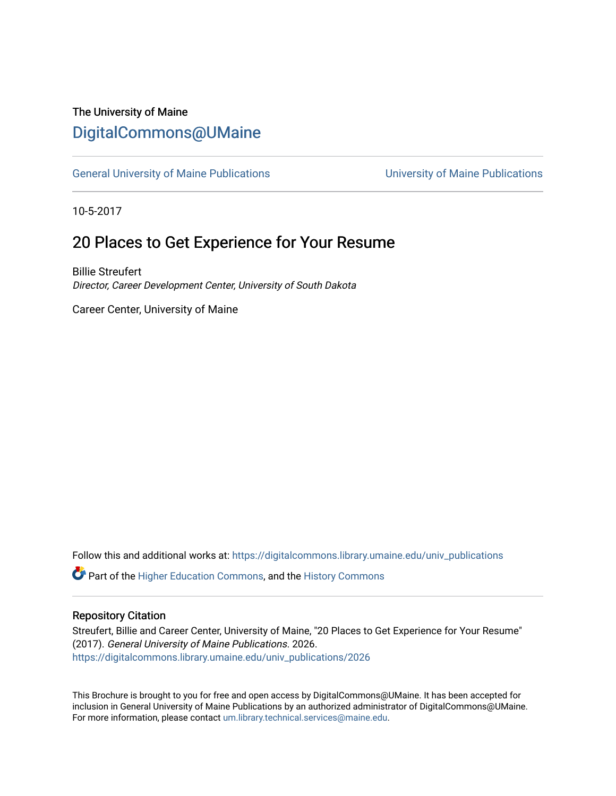## The University of Maine [DigitalCommons@UMaine](https://digitalcommons.library.umaine.edu/)

[General University of Maine Publications](https://digitalcommons.library.umaine.edu/univ_publications) [University of Maine Publications](https://digitalcommons.library.umaine.edu/umaine_publications) 

10-5-2017

## 20 Places to Get Experience for Your Resume

Billie Streufert Director, Career Development Center, University of South Dakota

Career Center, University of Maine

Follow this and additional works at: [https://digitalcommons.library.umaine.edu/univ\\_publications](https://digitalcommons.library.umaine.edu/univ_publications?utm_source=digitalcommons.library.umaine.edu%2Funiv_publications%2F2026&utm_medium=PDF&utm_campaign=PDFCoverPages) 

**C** Part of the [Higher Education Commons,](http://network.bepress.com/hgg/discipline/1245?utm_source=digitalcommons.library.umaine.edu%2Funiv_publications%2F2026&utm_medium=PDF&utm_campaign=PDFCoverPages) and the [History Commons](http://network.bepress.com/hgg/discipline/489?utm_source=digitalcommons.library.umaine.edu%2Funiv_publications%2F2026&utm_medium=PDF&utm_campaign=PDFCoverPages)

#### Repository Citation

Streufert, Billie and Career Center, University of Maine, "20 Places to Get Experience for Your Resume" (2017). General University of Maine Publications. 2026. [https://digitalcommons.library.umaine.edu/univ\\_publications/2026](https://digitalcommons.library.umaine.edu/univ_publications/2026?utm_source=digitalcommons.library.umaine.edu%2Funiv_publications%2F2026&utm_medium=PDF&utm_campaign=PDFCoverPages)

This Brochure is brought to you for free and open access by DigitalCommons@UMaine. It has been accepted for inclusion in General University of Maine Publications by an authorized administrator of DigitalCommons@UMaine. For more information, please contact [um.library.technical.services@maine.edu](mailto:um.library.technical.services@maine.edu).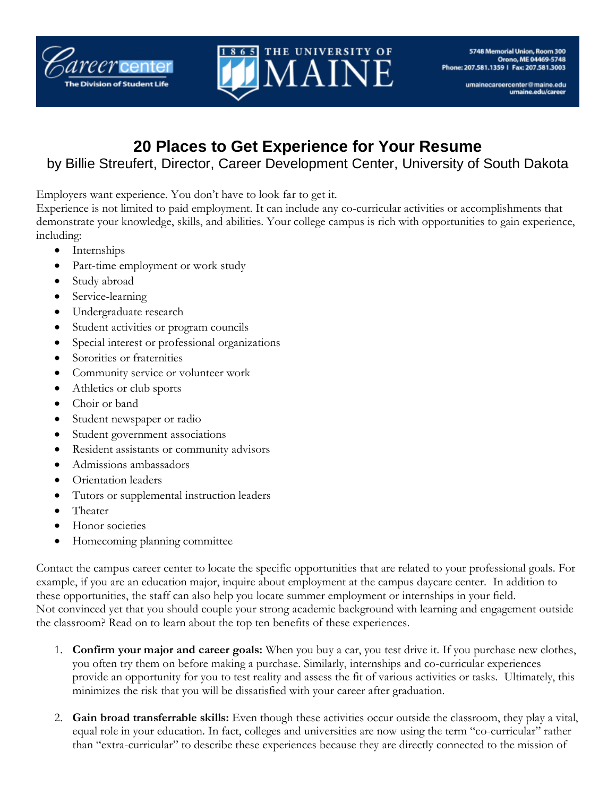



# **20 Places to Get Experience for Your Resume**

### by Billie Streufert, Director, Career Development Center, University of South Dakota

Employers want experience. You don't have to look far to get it.

Experience is not limited to paid employment. It can include any co-curricular activities or accomplishments that demonstrate your knowledge, skills, and abilities. Your college campus is rich with opportunities to gain experience, including:

- Internships
- Part-time employment or work study
- Study abroad
- Service-learning
- Undergraduate research
- Student activities or program councils
- Special interest or professional organizations
- Sororities or fraternities
- Community service or volunteer work
- Athletics or club sports
- Choir or band
- Student newspaper or radio
- Student government associations
- Resident assistants or community advisors
- Admissions ambassadors
- Orientation leaders
- Tutors or supplemental instruction leaders
- Theater
- Honor societies
- Homecoming planning committee

Contact the campus career center to locate the specific opportunities that are related to your professional goals. For example, if you are an education major, inquire about employment at the campus daycare center. In addition to these opportunities, the staff can also help you locate summer employment or internships in your field. Not convinced yet that you should couple your strong academic background with learning and engagement outside the classroom? Read on to learn about the top ten benefits of these experiences.

- 1. **Confirm your major and career goals:** When you buy a car, you test drive it. If you purchase new clothes, you often try them on before making a purchase. Similarly, internships and co-curricular experiences provide an opportunity for you to test reality and assess the fit of various activities or tasks. Ultimately, this minimizes the risk that you will be dissatisfied with your career after graduation.
- 2. **Gain broad transferrable skills:** Even though these activities occur outside the classroom, they play a vital, equal role in your education. In fact, colleges and universities are now using the term "co-curricular" rather than "extra-curricular" to describe these experiences because they are directly connected to the mission of